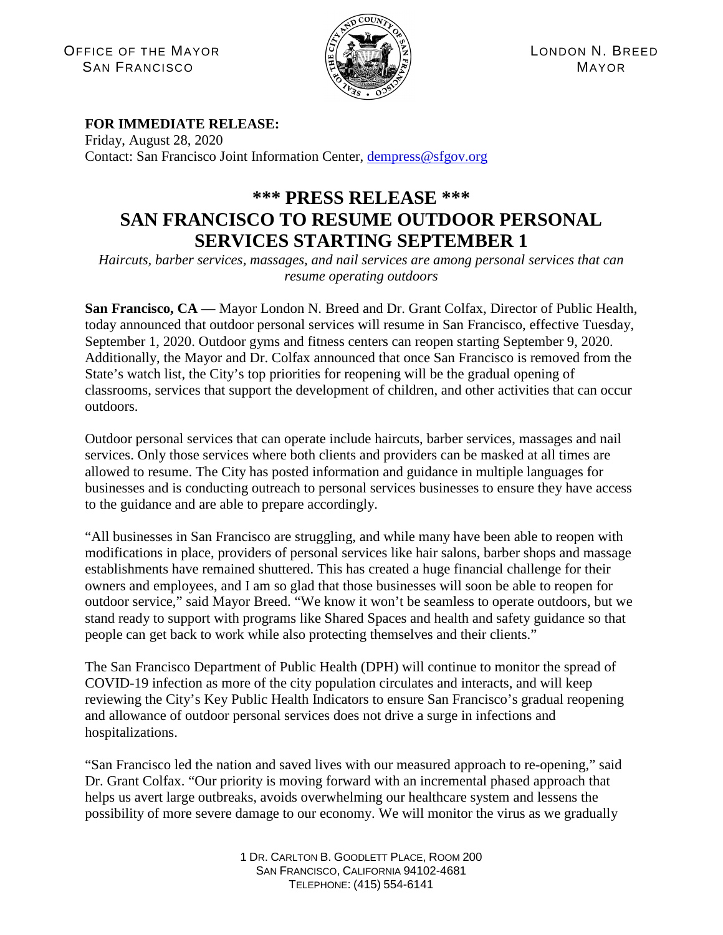OFFICE OF THE MAYOR  $\left|\frac{\partial f}{\partial x}\right| \left|\frac{\partial f}{\partial y}\right| \left|\frac{\partial f}{\partial y}\right| \left|\frac{\partial f}{\partial z}\right|$  LONDON N. BREED  $S$ AN FRANCISCO  $\left(\mathbb{E} \right)$   $\left(\mathbb{E} \right)$   $\left(\mathbb{E} \right)$   $\left(\mathbb{E} \right)$  MAYOR



## **FOR IMMEDIATE RELEASE:**

Friday, August 28, 2020 Contact: San Francisco Joint Information Center, [dempress@sfgov.org](mailto:dempress@sfgov.org)

## **\*\*\* PRESS RELEASE \*\*\* SAN FRANCISCO TO RESUME OUTDOOR PERSONAL SERVICES STARTING SEPTEMBER 1**

*Haircuts, barber services, massages, and nail services are among personal services that can resume operating outdoors*

San Francisco, CA — Mayor London N. Breed and Dr. Grant Colfax, Director of Public Health, today announced that outdoor personal services will resume in San Francisco, effective Tuesday, September 1, 2020. Outdoor gyms and fitness centers can reopen starting September 9, 2020. Additionally, the Mayor and Dr. Colfax announced that once San Francisco is removed from the State's watch list, the City's top priorities for reopening will be the gradual opening of classrooms, services that support the development of children, and other activities that can occur outdoors.

Outdoor personal services that can operate include haircuts, barber services, massages and nail services. Only those services where both clients and providers can be masked at all times are allowed to resume. The City has posted information and guidance in multiple languages for businesses and is conducting outreach to personal services businesses to ensure they have access to the guidance and are able to prepare accordingly.

"All businesses in San Francisco are struggling, and while many have been able to reopen with modifications in place, providers of personal services like hair salons, barber shops and massage establishments have remained shuttered. This has created a huge financial challenge for their owners and employees, and I am so glad that those businesses will soon be able to reopen for outdoor service," said Mayor Breed. "We know it won't be seamless to operate outdoors, but we stand ready to support with programs like Shared Spaces and health and safety guidance so that people can get back to work while also protecting themselves and their clients."

The San Francisco Department of Public Health (DPH) will continue to monitor the spread of COVID-19 infection as more of the city population circulates and interacts, and will keep reviewing the City's Key Public Health Indicators to ensure San Francisco's gradual reopening and allowance of outdoor personal services does not drive a surge in infections and hospitalizations.

"San Francisco led the nation and saved lives with our measured approach to re-opening," said Dr. Grant Colfax. "Our priority is moving forward with an incremental phased approach that helps us avert large outbreaks, avoids overwhelming our healthcare system and lessens the possibility of more severe damage to our economy. We will monitor the virus as we gradually

> 1 DR. CARLTON B. GOODLETT PLACE, ROOM 200 SAN FRANCISCO, CALIFORNIA 94102-4681 TELEPHONE: (415) 554-6141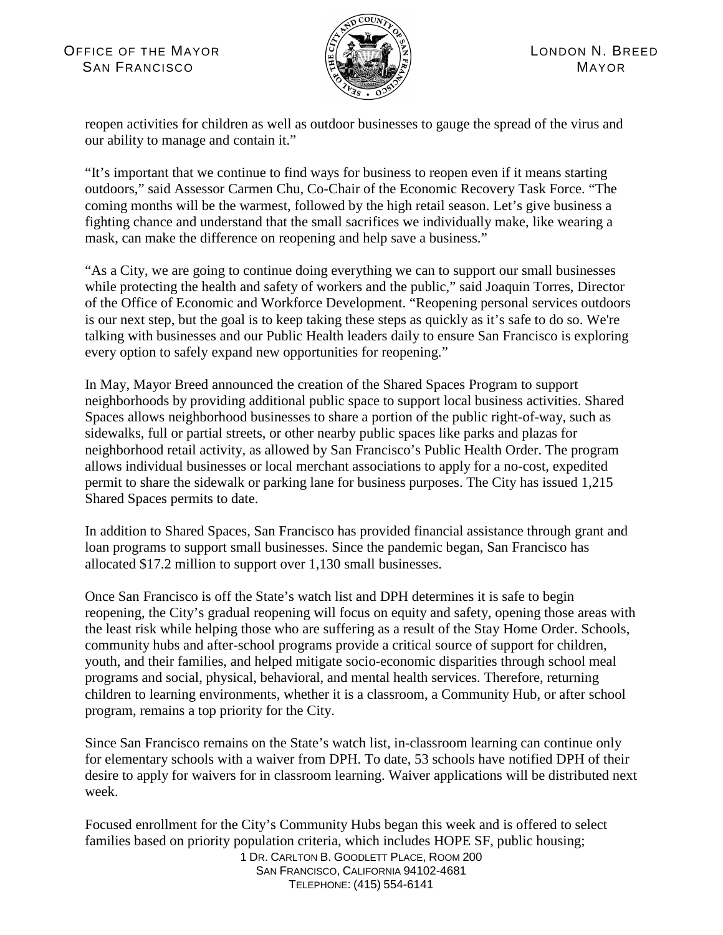

reopen activities for children as well as outdoor businesses to gauge the spread of the virus and our ability to manage and contain it."

"It's important that we continue to find ways for business to reopen even if it means starting outdoors," said Assessor Carmen Chu, Co-Chair of the Economic Recovery Task Force. "The coming months will be the warmest, followed by the high retail season. Let's give business a fighting chance and understand that the small sacrifices we individually make, like wearing a mask, can make the difference on reopening and help save a business."

"As a City, we are going to continue doing everything we can to support our small businesses while protecting the health and safety of workers and the public," said Joaquin Torres, Director of the Office of Economic and Workforce Development. "Reopening personal services outdoors is our next step, but the goal is to keep taking these steps as quickly as it's safe to do so. We're talking with businesses and our Public Health leaders daily to ensure San Francisco is exploring every option to safely expand new opportunities for reopening."

In May, Mayor Breed announced the creation of the Shared Spaces Program to support neighborhoods by providing additional public space to support local business activities. Shared Spaces allows neighborhood businesses to share a portion of the public right-of-way, such as sidewalks, full or partial streets, or other nearby public spaces like parks and plazas for neighborhood retail activity, as allowed by San Francisco's Public Health Order. The program allows individual businesses or local merchant associations to apply for a no-cost, expedited permit to share the sidewalk or parking lane for business purposes. The City has issued 1,215 Shared Spaces permits to date.

In addition to Shared Spaces, San Francisco has provided financial assistance through grant and loan programs to support small businesses. Since the pandemic began, San Francisco has allocated \$17.2 million to support over 1,130 small businesses.

Once San Francisco is off the State's watch list and DPH determines it is safe to begin reopening, the City's gradual reopening will focus on equity and safety, opening those areas with the least risk while helping those who are suffering as a result of the Stay Home Order. Schools, community hubs and after-school programs provide a critical source of support for children, youth, and their families, and helped mitigate socio-economic disparities through school meal programs and social, physical, behavioral, and mental health services. Therefore, returning children to learning environments, whether it is a classroom, a Community Hub, or after school program, remains a top priority for the City.

Since San Francisco remains on the State's watch list, in-classroom learning can continue only for elementary schools with a waiver from DPH. To date, 53 schools have notified DPH of their desire to apply for waivers for in classroom learning. Waiver applications will be distributed next week.

Focused enrollment for the City's Community Hubs began this week and is offered to select families based on priority population criteria, which includes HOPE SF, public housing;

1 DR. CARLTON B. GOODLETT PLACE, ROOM 200 SAN FRANCISCO, CALIFORNIA 94102-4681 TELEPHONE: (415) 554-6141